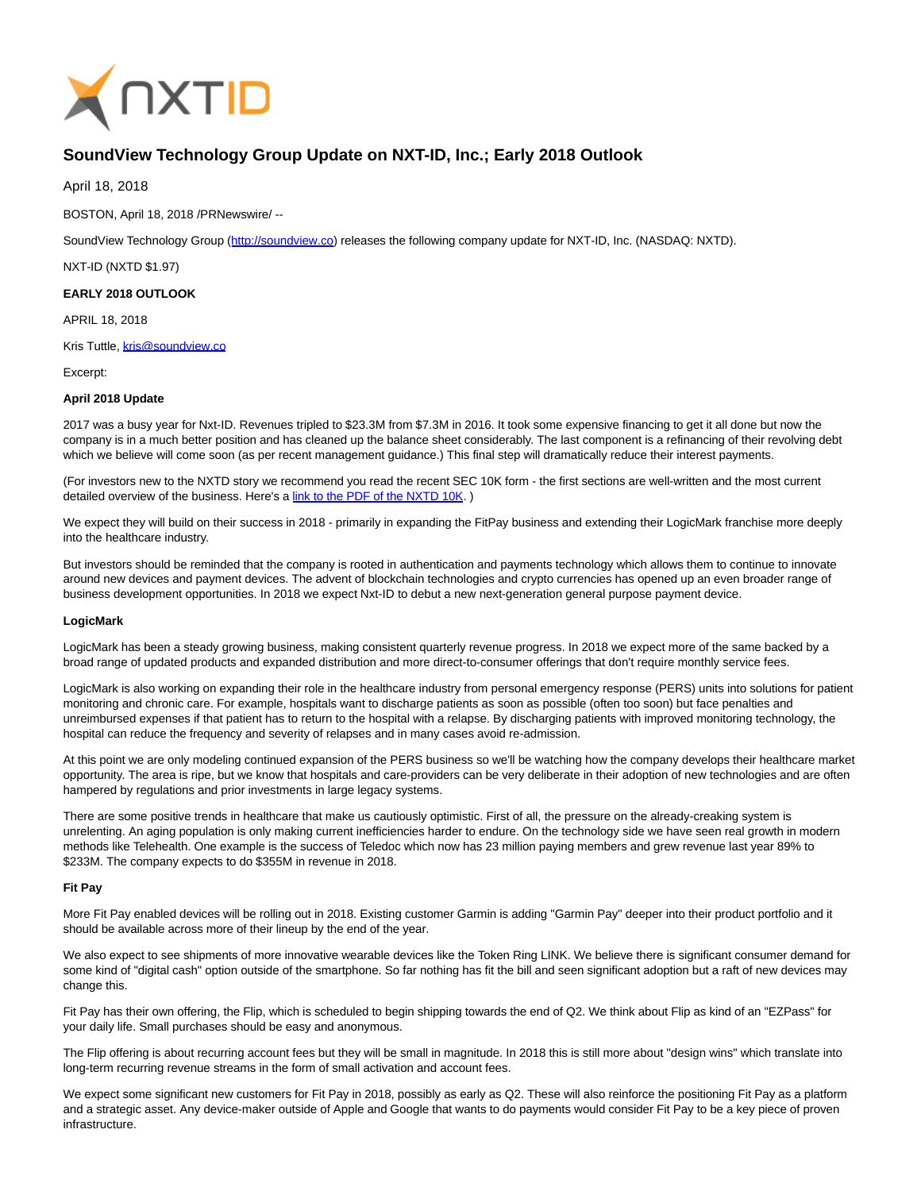

# **SoundView Technology Group Update on NXT-ID, Inc.; Early 2018 Outlook**

April 18, 2018

BOSTON, April 18, 2018 /PRNewswire/ --

SoundView Technology Group [\(http://soundview.co\)](http://soundview.co/) releases the following company update for NXT-ID, Inc. (NASDAQ: NXTD).

NXT-ID (NXTD \$1.97)

# **EARLY 2018 OUTLOOK**

APRIL 18, 2018

Kris Tuttle, [kris@soundview.co](mailto:kris@soundview.co)

Excerpt:

### **April 2018 Update**

2017 was a busy year for Nxt-ID. Revenues tripled to \$23.3M from \$7.3M in 2016. It took some expensive financing to get it all done but now the company is in a much better position and has cleaned up the balance sheet considerably. The last component is a refinancing of their revolving debt which we believe will come soon (as per recent management guidance.) This final step will dramatically reduce their interest payments.

(For investors new to the NXTD story we recommend you read the recent SEC 10K form - the first sections are well-written and the most current detailed overview of the business. Here's a link to the PDF of the NXTD 10K.)

We expect they will build on their success in 2018 - primarily in expanding the FitPay business and extending their LogicMark franchise more deeply into the healthcare industry.

But investors should be reminded that the company is rooted in authentication and payments technology which allows them to continue to innovate around new devices and payment devices. The advent of blockchain technologies and crypto currencies has opened up an even broader range of business development opportunities. In 2018 we expect Nxt-ID to debut a new next-generation general purpose payment device.

#### **LogicMark**

LogicMark has been a steady growing business, making consistent quarterly revenue progress. In 2018 we expect more of the same backed by a broad range of updated products and expanded distribution and more direct-to-consumer offerings that don't require monthly service fees.

LogicMark is also working on expanding their role in the healthcare industry from personal emergency response (PERS) units into solutions for patient monitoring and chronic care. For example, hospitals want to discharge patients as soon as possible (often too soon) but face penalties and unreimbursed expenses if that patient has to return to the hospital with a relapse. By discharging patients with improved monitoring technology, the hospital can reduce the frequency and severity of relapses and in many cases avoid re-admission.

At this point we are only modeling continued expansion of the PERS business so we'll be watching how the company develops their healthcare market opportunity. The area is ripe, but we know that hospitals and care-providers can be very deliberate in their adoption of new technologies and are often hampered by regulations and prior investments in large legacy systems.

There are some positive trends in healthcare that make us cautiously optimistic. First of all, the pressure on the already-creaking system is unrelenting. An aging population is only making current inefficiencies harder to endure. On the technology side we have seen real growth in modern methods like Telehealth. One example is the success of Teledoc which now has 23 million paying members and grew revenue last year 89% to \$233M. The company expects to do \$355M in revenue in 2018.

# **Fit Pay**

More Fit Pay enabled devices will be rolling out in 2018. Existing customer Garmin is adding "Garmin Pay" deeper into their product portfolio and it should be available across more of their lineup by the end of the year.

We also expect to see shipments of more innovative wearable devices like the Token Ring LINK. We believe there is significant consumer demand for some kind of "digital cash" option outside of the smartphone. So far nothing has fit the bill and seen significant adoption but a raft of new devices may change this.

Fit Pay has their own offering, the Flip, which is scheduled to begin shipping towards the end of Q2. We think about Flip as kind of an "EZPass" for your daily life. Small purchases should be easy and anonymous.

The Flip offering is about recurring account fees but they will be small in magnitude. In 2018 this is still more about "design wins" which translate into long-term recurring revenue streams in the form of small activation and account fees.

We expect some significant new customers for Fit Pay in 2018, possibly as early as Q2. These will also reinforce the positioning Fit Pay as a platform and a strategic asset. Any device-maker outside of Apple and Google that wants to do payments would consider Fit Pay to be a key piece of proven infrastructure.